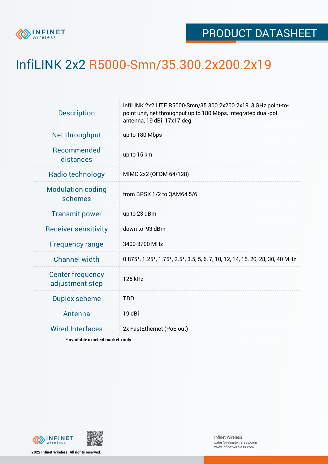

## InfiLINK 2x2 R5000-Smn/35.300.2x200.2x19

| InfiLINK 2x2 LITE R5000-Smn/35.300.2x200.2x19, 3 GHz point-to-<br>point unit, net throughput up to 180 Mbps, integrated dual-pol<br>antenna, 19 dBi, 17x17 deg |  |  |  |  |
|----------------------------------------------------------------------------------------------------------------------------------------------------------------|--|--|--|--|
| up to 180 Mbps                                                                                                                                                 |  |  |  |  |
| up to 15 km                                                                                                                                                    |  |  |  |  |
| MIMO 2x2 (OFDM 64/128)                                                                                                                                         |  |  |  |  |
| from BPSK 1/2 to QAM64 5/6                                                                                                                                     |  |  |  |  |
| up to 23 dBm                                                                                                                                                   |  |  |  |  |
| down to -93 dBm                                                                                                                                                |  |  |  |  |
| 3400-3700 MHz                                                                                                                                                  |  |  |  |  |
| 0.875*, 1.25*, 1.75*, 2.5*, 3.5, 5, 6, 7, 10, 12, 14, 15, 20, 28, 30, 40 MHz                                                                                   |  |  |  |  |
| 125 kHz                                                                                                                                                        |  |  |  |  |
| <b>TDD</b>                                                                                                                                                     |  |  |  |  |
| 19 dBi                                                                                                                                                         |  |  |  |  |
| 2x FastEthernet (PoE out)                                                                                                                                      |  |  |  |  |
|                                                                                                                                                                |  |  |  |  |

**\* available in select markets only**



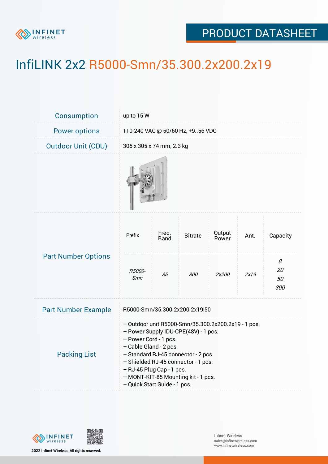

## PRODUCT DATASHEET

## InfiLINK 2x2 R5000-Smn/35.300.2x200.2x19

| Consumption                | up to 15 W                                                                                                                                                                                                                                                                                                                       |                      |                |                 |      |                      |
|----------------------------|----------------------------------------------------------------------------------------------------------------------------------------------------------------------------------------------------------------------------------------------------------------------------------------------------------------------------------|----------------------|----------------|-----------------|------|----------------------|
| <b>Power options</b>       | 110-240 VAC @ 50/60 Hz, +956 VDC                                                                                                                                                                                                                                                                                                 |                      |                |                 |      |                      |
| <b>Outdoor Unit (ODU)</b>  | 305 x 305 x 74 mm, 2.3 kg                                                                                                                                                                                                                                                                                                        |                      |                |                 |      |                      |
|                            |                                                                                                                                                                                                                                                                                                                                  |                      |                |                 |      |                      |
| <b>Part Number Options</b> | Prefix                                                                                                                                                                                                                                                                                                                           | Freq.<br><b>Band</b> | <b>Bitrate</b> | Output<br>Power | Ant. | Capacity             |
|                            | R5000-<br>Smn                                                                                                                                                                                                                                                                                                                    | 35                   | 300            | 2x200           | 2x19 | 8<br>20<br>50<br>300 |
| <b>Part Number Example</b> | R5000-Smn/35.300.2x200.2x19 50                                                                                                                                                                                                                                                                                                   |                      |                |                 |      |                      |
| <b>Packing List</b>        | - Outdoor unit R5000-Smn/35.300.2x200.2x19 - 1 pcs.<br>- Power Supply IDU-CPE(48V) - 1 pcs.<br>- Power Cord - 1 pcs.<br>- Cable Gland - 2 pcs.<br>- Standard RJ-45 connector - 2 pcs.<br>- Shielded RJ-45 connector - 1 pcs.<br>- RJ-45 Plug Cap - 1 pcs.<br>- MONT-KIT-85 Mounting kit - 1 pcs.<br>- Quick Start Guide - 1 pcs. |                      |                |                 |      |                      |



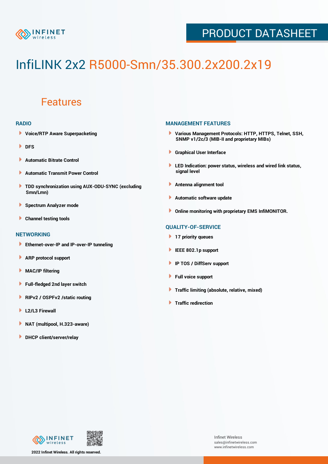

## PRODUCT DATASHEET

# InfiLINK 2x2 R5000-Smn/35.300.2x200.2x19

### Features

#### **RADIO**

- **Voice/RTP Aware Superpacketing**
- **DFS**
- **Automatic Bitrate Control** Þ
- Þ **Automatic Transmit Power Control**
- ь **TDD synchronization using AUX-ODU-SYNC (excluding Smn/Lmn)**
- **Spectrum Analyzer mode** ۰
- **Channel testing tools** ١

#### **NETWORKING**

- **Ethernet-over-IP and IP-over-IP tunneling**
- Þ **ARP protocol support**
- ۱ **MAC/IP filtering**
- Þ **Full-fledged 2nd layer switch**
- Þ **RIPv2 / OSPFv2 /static routing**
- **L2/L3 Firewall** Þ
- **NAT (multipool, H.323-aware)** Þ
- Þ **DHCP client/server/relay**

#### **MANAGEMENT FEATURES**

- **Various Management Protocols: HTTP, HTTPS, Telnet, SSH, SNMP v1/2c/3 (MIB-II and proprietary MIBs)**
- **Graphical User Interface**
- **LED Indication: power status, wireless and wired link status, signal level**
- **Antenna alignment tool**
- ٠ **Automatic software update**
- **Online monitoring with proprietary EMS InfiMONITOR.**

#### **QUALITY-OF-SERVICE**

- **17 priority queues**
- **IEEE 802.1p support**
- **IP TOS / DiffServ support**
- ٠ **Full voice support**
- **Traffic limiting (absolute, relative, mixed)** ٠
- **Traffic redirection**